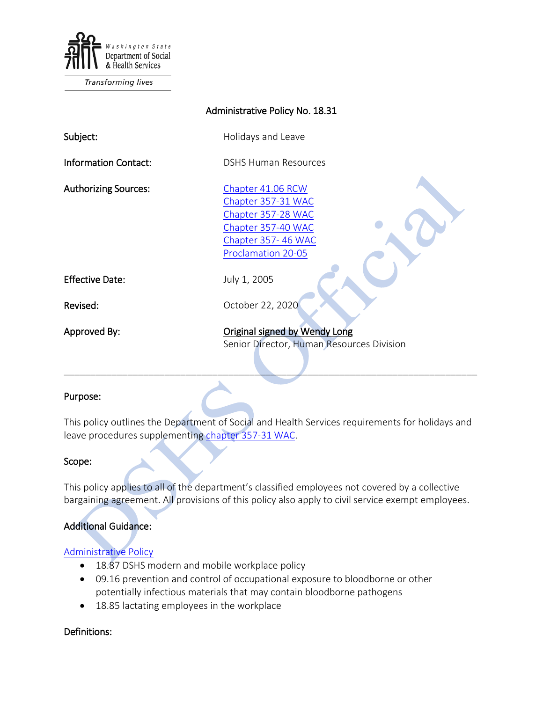

Transforming lives

| Administrative Policy No. 18.31 |                                                                                                                                 |
|---------------------------------|---------------------------------------------------------------------------------------------------------------------------------|
| Subject:                        | Holidays and Leave                                                                                                              |
| <b>Information Contact:</b>     | <b>DSHS Human Resources</b>                                                                                                     |
| <b>Authorizing Sources:</b>     | Chapter 41.06 RCW<br>Chapter 357-31 WAC<br>Chapter 357-28 WAC<br>Chapter 357-40 WAC<br>Chapter 357-46 WAC<br>Proclamation 20-05 |
| <b>Effective Date:</b>          | July 1, 2005                                                                                                                    |
| Revised:                        | October 22, 2020                                                                                                                |
| Approved By:                    | Original signed by Wendy Long<br>Senior Director, Human Resources Division                                                      |

#### Purpose:

This policy outlines the Department of Social and Health Services requirements for holidays and leave procedures supplementing [chapter 357-31 WAC.](http://apps.leg.wa.gov/WAC/default.aspx?cite=357-31)

#### Scope:

This policy applies to all of the department's classified employees not covered by a collective bargaining agreement. All provisions of this policy also apply to civil service exempt employees.

#### Additional Guidance:

#### [Administrative Policy](http://one.dshs.wa.lcl/Policies/Pages/default.aspx)

- 18.87 DSHS modern and mobile workplace policy
- 09.16 prevention and control of occupational exposure to bloodborne or other potentially infectious materials that may contain bloodborne pathogens
- 18.85 lactating employees in the workplace

#### Definitions: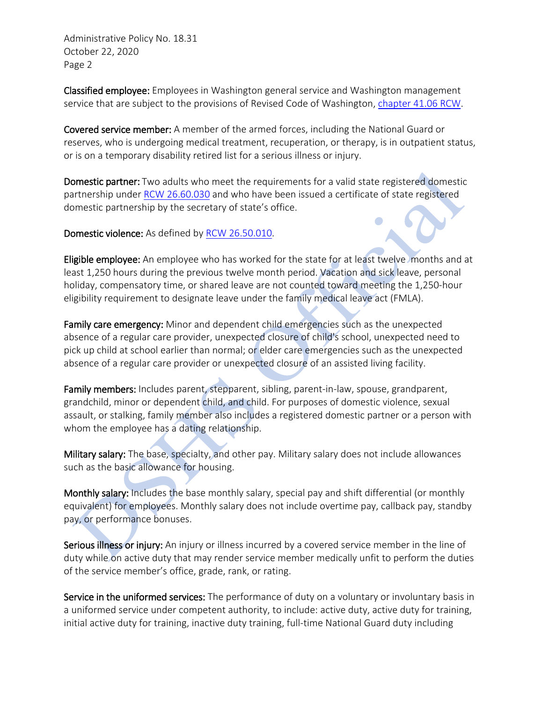Classified employee: Employees in Washington general service and Washington management service that are subject to the provisions of Revised Code of Washington, [chapter 41.06 RCW.](http://apps.leg.wa.gov/RCW/default.aspx?cite=41)

Covered service member: A member of the armed forces, including the National Guard or reserves, who is undergoing medical treatment, recuperation, or therapy, is in outpatient status, or is on a temporary disability retired list for a serious illness or injury.

Domestic partner: Two adults who meet the requirements for a valid state registered domestic partnership under [RCW 26.60.030](http://apps.leg.wa.gov/RCW/default.aspx?cite=26.60.030) and who have been issued a certificate of state registered domestic partnership by the secretary of state's office.

Domestic violence: As defined by [RCW 26.50.010.](http://apps.leg.wa.gov/RCW/default.aspx?cite=26.50.010)

Eligible employee: An employee who has worked for the state for at least twelve months and at least 1,250 hours during the previous twelve month period. Vacation and sick leave, personal holiday, compensatory time, or shared leave are not counted toward meeting the 1,250-hour eligibility requirement to designate leave under the family medical leave act (FMLA).

Family care emergency: Minor and dependent child emergencies such as the unexpected absence of a regular care provider, unexpected closure of child's school, unexpected need to pick up child at school earlier than normal; or elder care emergencies such as the unexpected absence of a regular care provider or unexpected closure of an assisted living facility.

Family members: Includes parent, stepparent, sibling, parent-in-law, spouse, grandparent, grandchild, minor or dependent child, and child. For purposes of domestic violence, sexual assault, or stalking, family member also includes a registered domestic partner or a person with whom the employee has a dating relationship.

Military salary: The base, specialty, and other pay. Military salary does not include allowances such as the basic allowance for housing.

Monthly salary: Includes the base monthly salary, special pay and shift differential (or monthly equivalent) for employees. Monthly salary does not include overtime pay, callback pay, standby pay, or performance bonuses.

Serious illness or injury: An injury or illness incurred by a covered service member in the line of duty while on active duty that may render service member medically unfit to perform the duties of the service member's office, grade, rank, or rating.

Service in the uniformed services: The performance of duty on a voluntary or involuntary basis in a uniformed service under competent authority, to include: active duty, active duty for training, initial active duty for training, inactive duty training, full-time National Guard duty including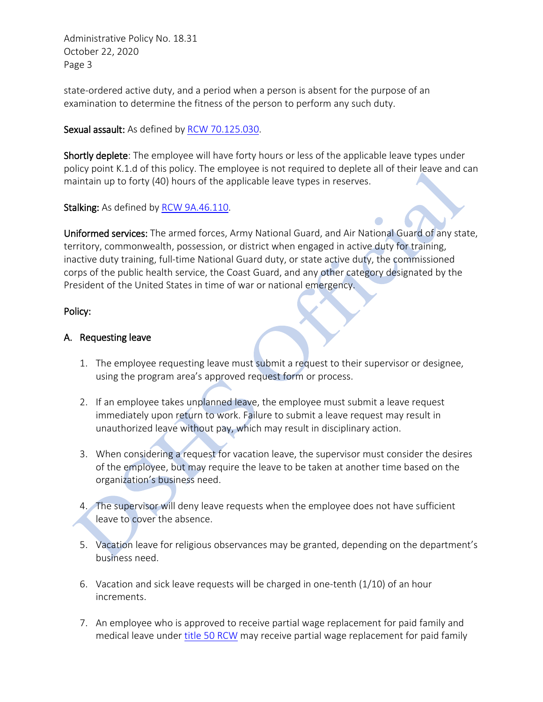state-ordered active duty, and a period when a person is absent for the purpose of an examination to determine the fitness of the person to perform any such duty.

#### Sexual assault: As defined by [RCW 70.125.030.](http://apps.leg.wa.gov/RCW/default.aspx?cite=70.125.030)

Shortly deplete: The employee will have forty hours or less of the applicable leave types under policy point K.1.d of this policy. The employee is not required to deplete all of their leave and can maintain up to forty (40) hours of the applicable leave types in reserves.

Stalking: As defined by [RCW 9A.46.110.](http://apps.leg.wa.gov/RCW/default.aspx?cite=9A.46.110)

Uniformed services: The armed forces, Army National Guard, and Air National Guard of any state, territory, commonwealth, possession, or district when engaged in active duty for training, inactive duty training, full-time National Guard duty, or state active duty, the commissioned corps of the public health service, the Coast Guard, and any other category designated by the President of the United States in time of war or national emergency.

#### Policy:

#### A. Requesting leave

- 1. The employee requesting leave must submit a request to their supervisor or designee, using the program area's approved request form or process.
- 2. If an employee takes unplanned leave, the employee must submit a leave request immediately upon return to work. Failure to submit a leave request may result in unauthorized leave without pay, which may result in disciplinary action.
- 3. When considering a request for vacation leave, the supervisor must consider the desires of the employee, but may require the leave to be taken at another time based on the organization's business need.
- 4. The supervisor will deny leave requests when the employee does not have sufficient leave to cover the absence.
- 5. Vacation leave for religious observances may be granted, depending on the department's business need.
- 6. Vacation and sick leave requests will be charged in one-tenth (1/10) of an hour increments.
- 7. An employee who is approved to receive partial wage replacement for paid family and medical leave under [title 50 RCW](https://app.leg.wa.gov/RCW/default.aspx?Cite=50) may receive partial wage replacement for paid family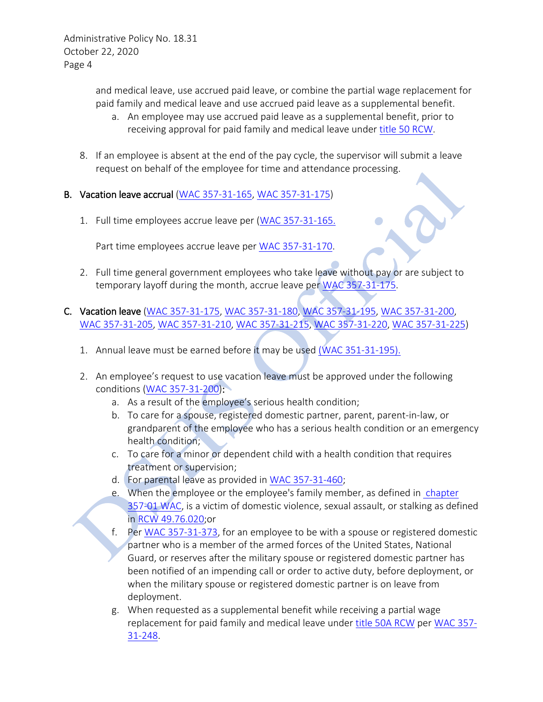and medical leave, use accrued paid leave, or combine the partial wage replacement for paid family and medical leave and use accrued paid leave as a supplemental benefit.

- a. An employee may use accrued paid leave as a supplemental benefit, prior to receiving approval for paid family and medical leave under [title 50 RCW.](https://app.leg.wa.gov/RCW/default.aspx?Cite=50)
- 8. If an employee is absent at the end of the pay cycle, the supervisor will submit a leave request on behalf of the employee for time and attendance processing.

## B. Vacation leave accrual [\(WAC 357-31-165,](http://apps.leg.wa.gov/WAC/default.aspx?cite=357-31-165) [WAC 357-31-175\)](http://apps.leg.wa.gov/WAC/default.aspx?cite=357-31-175)

1. Full time employees accrue leave per [\(WAC 357-31-165.](http://apps.leg.wa.gov/WAC/default.aspx?cite=357-31-165)

Part time employees accrue leave per [WAC 357-31-170.](http://apps.leg.wa.gov/WAC/default.aspx?cite=357-31-170)

2. Full time general government employees who take leave without pay or are subject to temporary layoff during the month, accrue leave per [WAC 357-31-175.](http://apps.leg.wa.gov/WAC/default.aspx?cite=357-31-175)

## C. Vacation leave [\(WAC 357-31-175,](http://apps.leg.wa.gov/WAC/default.aspx?cite=357-31-175) [WAC 357-31-180,](http://apps.leg.wa.gov/WAC/default.aspx?cite=357-31-180) [WAC 357-31-195,](http://apps.leg.wa.gov/WAC/default.aspx?cite=357-31-195) [WAC 357-31-200,](http://apps.leg.wa.gov/WAC/default.aspx?cite=357-31-200) [WAC 357-31-205,](http://apps.leg.wa.gov/WAC/default.aspx?cite=357-31-205) [WAC 357-31-210,](http://apps.leg.wa.gov/WAC/default.aspx?cite=357-31-210) [WAC 357-31-215,](http://apps.leg.wa.gov/WAC/default.aspx?cite=357-31-215) [WAC 357-31-220,](http://apps.leg.wa.gov/WAC/default.aspx?cite=357-31-220) [WAC 357-31-225\)](http://apps.leg.wa.gov/WAC/default.aspx?cite=357-31-225)

- 1. Annual leave must be earned before it may be used [\(WAC 351-31-195\).](https://apps.leg.wa.gov/WAC/default.aspx?cite=357-31-195)
- 2. An employee's request to use vacation leave must be approved under the following conditions [\(WAC 357-31-200\)](http://apps.leg.wa.gov/WAC/default.aspx?cite=357-31-200):
	- a. As a result of the employee's serious health condition;
	- b. To care for a spouse, registered domestic partner, parent, parent-in-law, or grandparent of the employee who has a serious health condition or an emergency health condition;
	- c. To care for a minor or dependent child with a health condition that requires treatment or supervision;
	- d. For parental leave as provided in [WAC 357-31-460;](http://apps.leg.wa.gov/WAC/default.aspx?cite=357-31-460)
	- e. When the employee or the employee's family member, as defined in [chapter](http://apps.leg.wa.gov/WAC/default.aspx?cite=357-01)  [357-01 WAC,](http://apps.leg.wa.gov/WAC/default.aspx?cite=357-01) is a victim of domestic violence, sexual assault, or stalking as defined in [RCW 49.76.020;](http://apps.leg.wa.gov/RCW/default.aspx?cite=49.76.020)or
	- f. Per [WAC 357-31-373,](http://apps.leg.wa.gov/WAC/default.aspx?cite=357-31-373) for an employee to be with a spouse or registered domestic partner who is a member of the armed forces of the United States, National Guard, or reserves after the military spouse or registered domestic partner has been notified of an impending call or order to active duty, before deployment, or when the military spouse or registered domestic partner is on leave from deployment.
	- g. When requested as a supplemental benefit while receiving a partial wage replacement for paid family and medical leave under [title 50A RCW](https://app.leg.wa.gov/RCW/default.aspx?cite=50A) per [WAC 357-](https://apps.leg.wa.gov/wac/default.aspx?cite=357-31-248) [31-248.](https://apps.leg.wa.gov/wac/default.aspx?cite=357-31-248)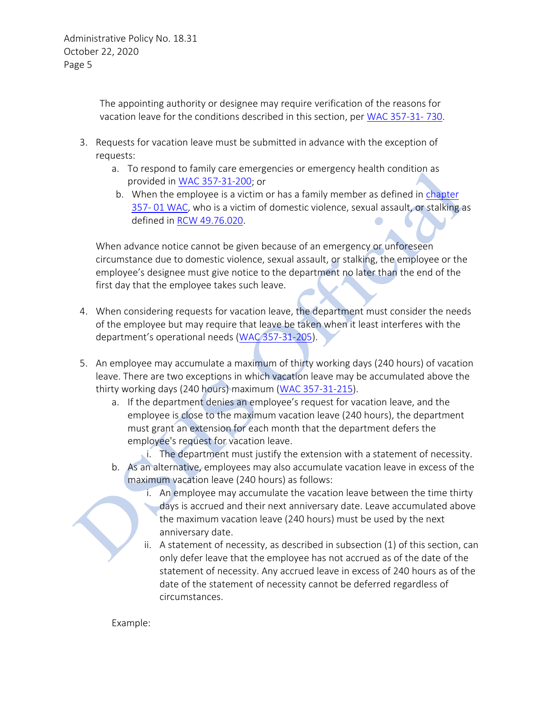The appointing authority or designee may require verification of the reasons for vacation leave for the conditions described in this section, per [WAC 357-31-](http://apps.leg.wa.gov/WAC/default.aspx?cite=357-31-730) 730.

- 3. Requests for vacation leave must be submitted in advance with the exception of requests:
	- a. To respond to family care emergencies or emergency health condition as provided in [WAC 357-31-200;](http://apps.leg.wa.gov/WAC/default.aspx?cite=357-31-200) or
	- b. When the employee is a victim or has a family member as defined in [chapter](http://apps.leg.wa.gov/WAC/default.aspx?cite=357-01) [357-](http://apps.leg.wa.gov/WAC/default.aspx?cite=357-01) 01 WAC, who is a victim of domestic violence, sexual assault, or stalking as defined in [RCW 49.76.020.](http://apps.leg.wa.gov/RCW/default.aspx?cite=49.76.020)

When advance notice cannot be given because of an emergency or unforeseen circumstance due to domestic violence, sexual assault, or stalking, the employee or the employee's designee must give notice to the department no later than the end of the first day that the employee takes such leave.

- 4. When considering requests for vacation leave, the department must consider the needs of the employee but may require that leave be taken when it least interferes with the department's operational needs [\(WAC 357-31-205\)](http://apps.leg.wa.gov/WAC/default.aspx?cite=357-31-205).
- 5. An employee may accumulate a maximum of thirty working days (240 hours) of vacation leave. There are two exceptions in which vacation leave may be accumulated above the thirty working days (240 hours) maximum [\(WAC 357-31-215\)](http://apps.leg.wa.gov/WAC/default.aspx?cite=357-31-215).
	- a. If the department denies an employee's request for vacation leave, and the employee is close to the maximum vacation leave (240 hours), the department must grant an extension for each month that the department defers the employee's request for vacation leave.

i. The department must justify the extension with a statement of necessity.

- b. As an alternative, employees may also accumulate vacation leave in excess of the maximum vacation leave (240 hours) as follows:
	- i. An employee may accumulate the vacation leave between the time thirty days is accrued and their next anniversary date. Leave accumulated above the maximum vacation leave (240 hours) must be used by the next anniversary date.
	- ii. A statement of necessity, as described in subsection (1) of this section, can only defer leave that the employee has not accrued as of the date of the statement of necessity. Any accrued leave in excess of 240 hours as of the date of the statement of necessity cannot be deferred regardless of circumstances.

Example: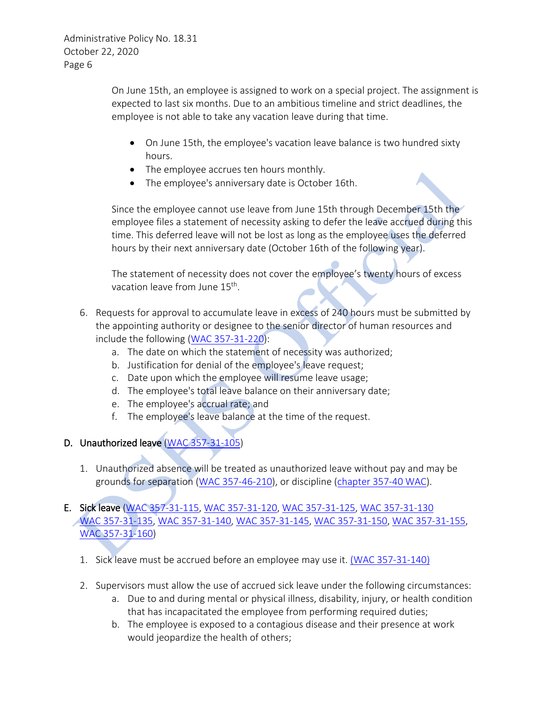On June 15th, an employee is assigned to work on a special project. The assignment is expected to last six months. Due to an ambitious timeline and strict deadlines, the employee is not able to take any vacation leave during that time.

- On June 15th, the employee's vacation leave balance is two hundred sixty hours.
- The employee accrues ten hours monthly.
- The employee's anniversary date is October 16th.

Since the employee cannot use leave from June 15th through December 15th the employee files a statement of necessity asking to defer the leave accrued during this time. This deferred leave will not be lost as long as the employee uses the deferred hours by their next anniversary date (October 16th of the following year).

The statement of necessity does not cover the employee's twenty hours of excess vacation leave from June 15<sup>th</sup>.

- 6. Requests for approval to accumulate leave in excess of 240 hours must be submitted by the appointing authority or designee to the senior director of human resources and include the following [\(WAC 357-31-220\)](http://apps.leg.wa.gov/WAC/default.aspx?cite=357-31-220):
	- a. The date on which the statement of necessity was authorized;
	- b. Justification for denial of the employee's leave request;
	- c. Date upon which the employee will resume leave usage;
	- d. The employee's total leave balance on their anniversary date;
	- e. The employee's accrual rate; and
	- f. The employee's leave balance at the time of the request.

# D. Unauthorized leave [\(WAC 357-31-105\)](http://apps.leg.wa.gov/WAC/default.aspx?cite=357-31-105)

1. Unauthorized absence will be treated as unauthorized leave without pay and may be grounds for separation [\(WAC 357-46-210\)](http://apps.leg.wa.gov/WAC/default.aspx?cite=357-46-210), or discipline [\(chapter 357-40 WAC\)](http://apps.leg.wa.gov/WAC/default.aspx?cite=357-40).

# E. Sick leave [\(WAC 357-31-115,](http://apps.leg.wa.gov/WAC/default.aspx?cite=357-31-115) [WAC 357-31-120,](http://apps.leg.wa.gov/WAC/default.aspx?cite=357-31-120) [WAC 357-31-125,](http://apps.leg.wa.gov/WAC/default.aspx?cite=357-31-125) [WAC 357-31-130](http://apps.leg.wa.gov/WAC/default.aspx?cite=357-31-130)  [WAC 357-31-135,](http://apps.leg.wa.gov/WAC/default.aspx?cite=357-31-135) WAC [357-31-140,](http://apps.leg.wa.gov/WAC/default.aspx?cite=357-31-140) [WAC 357-31-145,](http://apps.leg.wa.gov/WAC/default.aspx?cite=357-31-145) [WAC 357-31-150,](http://apps.leg.wa.gov/WAC/default.aspx?cite=357-31-150) [WAC 357-31-155,](http://apps.leg.wa.gov/WAC/default.aspx?cite=357-31-155) [WAC 357-31-160\)](http://apps.leg.wa.gov/WAC/default.aspx?cite=357-31-160)

- 1. Sick leave must be accrued before an employee may use it. [\(WAC 357-31-140\)](https://apps.leg.wa.gov/WAC/default.aspx?cite=357-31-140)
- 2. Supervisors must allow the use of accrued sick leave under the following circumstances:
	- a. Due to and during mental or physical illness, disability, injury, or health condition that has incapacitated the employee from performing required duties;
	- b. The employee is exposed to a contagious disease and their presence at work would jeopardize the health of others;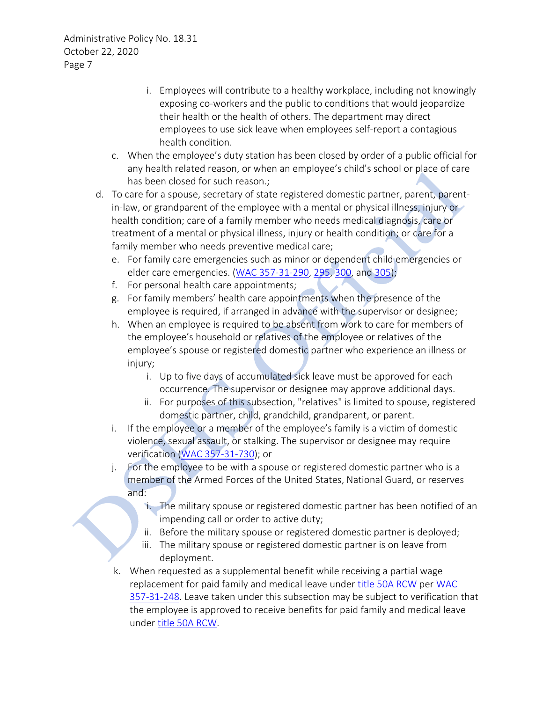- i. Employees will contribute to a healthy workplace, including not knowingly exposing co-workers and the public to conditions that would jeopardize their health or the health of others. The department may direct employees to use sick leave when employees self-report a contagious health condition.
- c. When the employee's duty station has been closed by order of a public official for any health related reason, or when an employee's child's school or place of care has been closed for such reason.;
- d. To care for a spouse, secretary of state registered domestic partner, parent, parentin-law, or grandparent of the employee with a mental or physical illness, injury or health condition; care of a family member who needs medical diagnosis, care or treatment of a mental or physical illness, injury or health condition; or care for a family member who needs preventive medical care;
	- e. For family care emergencies such as minor or dependent child emergencies or elder care emergencies. [\(WAC 357-31-290,](http://apps.leg.wa.gov/WAC/default.aspx?cite=357-31-290) [295,](http://apps.leg.wa.gov/WAC/default.aspx?cite=357-31-295) [300,](http://apps.leg.wa.gov/WAC/default.aspx?cite=357-31-300) and [305\)](http://apps.leg.wa.gov/WAC/default.aspx?cite=357-31-305);
	- f. For personal health care appointments;
	- g. For family members' health care appointments when the presence of the employee is required, if arranged in advance with the supervisor or designee;
	- h. When an employee is required to be absent from work to care for members of the employee's household or relatives of the employee or relatives of the employee's spouse or registered domestic partner who experience an illness or injury;
		- i. Up to five days of accumulated sick leave must be approved for each occurrence. The supervisor or designee may approve additional days.
		- ii. For purposes of this subsection, "relatives" is limited to spouse, registered domestic partner, child, grandchild, grandparent, or parent.
	- i. If the employee or a member of the employee's family is a victim of domestic violence, sexual assault, or stalking. The supervisor or designee may require verification [\(WAC 357-31-730\)](http://apps.leg.wa.gov/WAC/default.aspx?cite=357-31-730); or
	- j. For the employee to be with a spouse or registered domestic partner who is a member of the Armed Forces of the United States, National Guard, or reserves and:
		- i. The military spouse or registered domestic partner has been notified of an impending call or order to active duty;
		- ii. Before the military spouse or registered domestic partner is deployed;
		- iii. The military spouse or registered domestic partner is on leave from deployment.
	- k. When requested as a supplemental benefit while receiving a partial wage replacement for paid family and medical leave under [title 50A RCW](https://app.leg.wa.gov/RCW/default.aspx?cite=50A) per [WAC](https://apps.leg.wa.gov/wac/default.aspx?cite=357-31-248)  [357-31-248.](https://apps.leg.wa.gov/wac/default.aspx?cite=357-31-248) Leave taken under this subsection may be subject to verification that the employee is approved to receive benefits for paid family and medical leave unde[r title 50A RCW.](https://app.leg.wa.gov/RCW/default.aspx?cite=50A)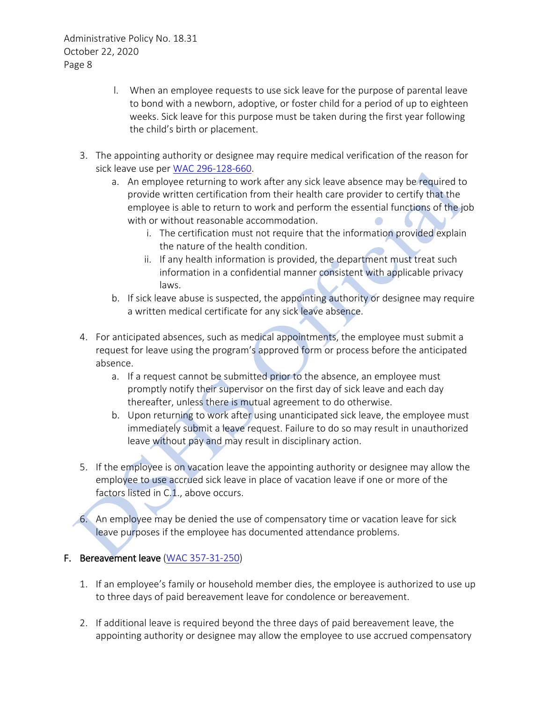- l. When an employee requests to use sick leave for the purpose of parental leave to bond with a newborn, adoptive, or foster child for a period of up to eighteen weeks. Sick leave for this purpose must be taken during the first year following the child's birth or placement.
- 3. The appointing authority or designee may require medical verification of the reason for sick leave use per [WAC 296-128-660.](https://apps.leg.wa.gov/WAC/default.aspx?cite=296-128-660)
	- a. An employee returning to work after any sick leave absence may be required to provide written certification from their health care provider to certify that the employee is able to return to work and perform the essential functions of the job with or without reasonable accommodation.
		- i. The certification must not require that the information provided explain the nature of the health condition.
		- ii. If any health information is provided, the department must treat such information in a confidential manner consistent with applicable privacy laws.
	- b. If sick leave abuse is suspected, the appointing authority or designee may require a written medical certificate for any sick leave absence.
- 4. For anticipated absences, such as medical appointments, the employee must submit a request for leave using the program's approved form or process before the anticipated absence.
	- a. If a request cannot be submitted prior to the absence, an employee must promptly notify their supervisor on the first day of sick leave and each day thereafter, unless there is mutual agreement to do otherwise.
	- b. Upon returning to work after using unanticipated sick leave, the employee must immediately submit a leave request. Failure to do so may result in unauthorized leave without pay and may result in disciplinary action.
- 5. If the employee is on vacation leave the appointing authority or designee may allow the employee to use accrued sick leave in place of vacation leave if one or more of the factors listed in C.1., above occurs.

6. An employee may be denied the use of compensatory time or vacation leave for sick leave purposes if the employee has documented attendance problems.

## F. Bereavement leave [\(WAC 357-31-250\)](http://apps.leg.wa.gov/WAC/default.aspx?cite=357-31-250)

- 1. If an employee's family or household member dies, the employee is authorized to use up to three days of paid bereavement leave for condolence or bereavement.
- 2. If additional leave is required beyond the three days of paid bereavement leave, the appointing authority or designee may allow the employee to use accrued compensatory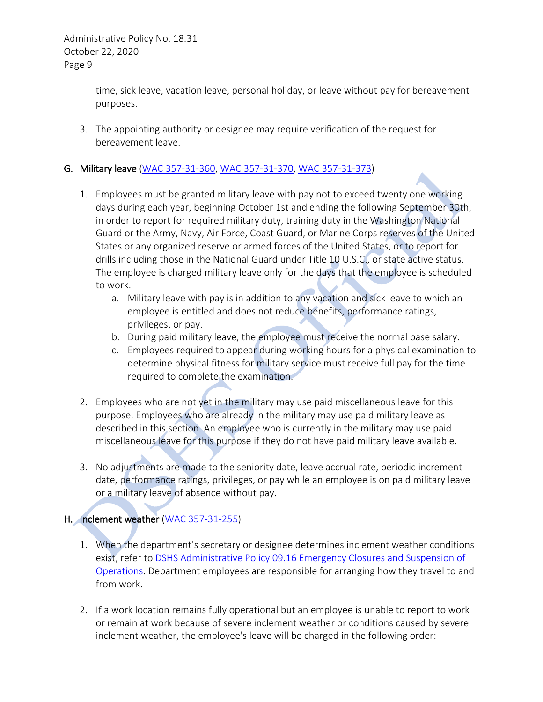> time, sick leave, vacation leave, personal holiday, or leave without pay for bereavement purposes.

3. The appointing authority or designee may require verification of the request for bereavement leave.

## G. Military leave [\(WAC 357-31-360,](http://apps.leg.wa.gov/WAC/default.aspx?cite=357-31-360) [WAC 357-31-370,](http://apps.leg.wa.gov/WAC/default.aspx?cite=357-31-370) [WAC 357-31-373\)](http://apps.leg.wa.gov/WAC/default.aspx?cite=357-31-373)

- 1. Employees must be granted military leave with pay not to exceed twenty one working days during each year, beginning October 1st and ending the following September 30th, in order to report for required military duty, training duty in the Washington National Guard or the Army, Navy, Air Force, Coast Guard, or Marine Corps reserves of the United States or any organized reserve or armed forces of the United States, or to report for drills including those in the National Guard under Title 10 U.S.C., or state active status. The employee is charged military leave only for the days that the employee is scheduled to work.
	- a. Military leave with pay is in addition to any vacation and sick leave to which an employee is entitled and does not reduce benefits, performance ratings, privileges, or pay.
	- b. During paid military leave, the employee must receive the normal base salary.
	- c. Employees required to appear during working hours for a physical examination to determine physical fitness for military service must receive full pay for the time required to complete the examination.
- 2. Employees who are not yet in the military may use paid miscellaneous leave for this purpose. Employees who are already in the military may use paid military leave as described in this section. An employee who is currently in the military may use paid miscellaneous leave for this purpose if they do not have paid military leave available.
- 3. No adjustments are made to the seniority date, leave accrual rate, periodic increment date, performance ratings, privileges, or pay while an employee is on paid military leave or a military leave of absence without pay.

## H. Inclement weather [\(WAC 357-31-255\)](http://apps.leg.wa.gov/WAC/default.aspx?cite=357-31-255)

- 1. When the department's secretary or designee determines inclement weather conditions exist, refer to DSHS Administrative Policy 09.16 [Emergency Closures and Suspension of](http://asd.dshs.wa.gov/RPAU/documents/Admin-Policy/18-32.doc)  [Operations.](http://asd.dshs.wa.gov/RPAU/documents/Admin-Policy/18-32.doc) Department employees are responsible for arranging how they travel to and from work.
- 2. If a work location remains fully operational but an employee is unable to report to work or remain at work because of severe inclement weather or conditions caused by severe inclement weather, the employee's leave will be charged in the following order: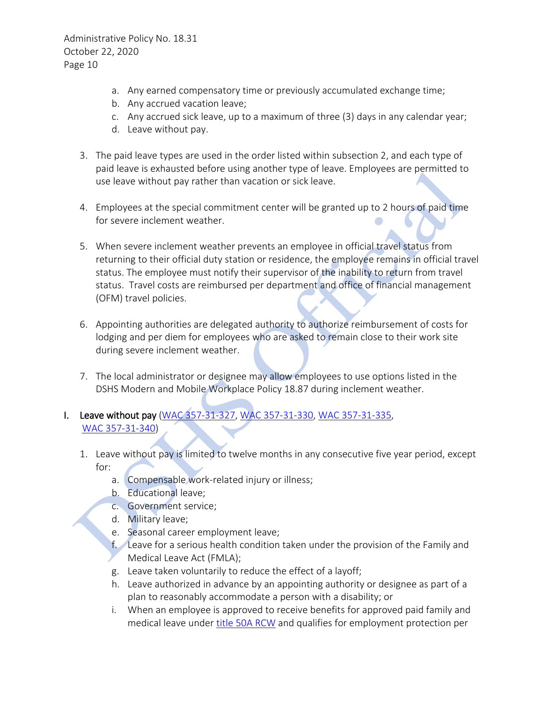- a. Any earned compensatory time or previously accumulated exchange time;
- b. Any accrued vacation leave;
- c. Any accrued sick leave, up to a maximum of three (3) days in any calendar year;
- d. Leave without pay.
- 3. The paid leave types are used in the order listed within subsection 2, and each type of paid leave is exhausted before using another type of leave. Employees are permitted to use leave without pay rather than vacation or sick leave.
- 4. Employees at the special commitment center will be granted up to 2 hours of paid time for severe inclement weather.
- 5. When severe inclement weather prevents an employee in official travel status from returning to their official duty station or residence, the employee remains in official travel status. The employee must notify their supervisor of the inability to return from travel status. Travel costs are reimbursed per department and office of financial management (OFM) travel policies.
- 6. Appointing authorities are delegated authority to authorize reimbursement of costs for lodging and per diem for employees who are asked to remain close to their work site during severe inclement weather.
- 7. The local administrator or designee may allow employees to use options listed in the DSHS Modern and Mobile Workplace Policy 18.87 during inclement weather.

# I. Leave without pay [\(WAC 357-31-327,](http://apps.leg.wa.gov/WAC/default.aspx?cite=357-31-327) [WAC 357-31-330,](http://apps.leg.wa.gov/WAC/default.aspx?cite=357-31-330) [WAC 357-31-335,](http://apps.leg.wa.gov/WAC/default.aspx?cite=357-31-335)  [WAC 357-31-340\)](http://apps.leg.wa.gov/WAC/default.aspx?cite=357-31-340)

- 1. Leave without pay is limited to twelve months in any consecutive five year period, except for:
	- a. Compensable work-related injury or illness;
	- b. Educational leave;
	- c. Government service;
	- d. Military leave;
	- e. Seasonal career employment leave;
	- f. Leave for a serious health condition taken under the provision of the Family and Medical Leave Act (FMLA);
	- g. Leave taken voluntarily to reduce the effect of a layoff;
	- h. Leave authorized in advance by an appointing authority or designee as part of a plan to reasonably accommodate a person with a disability; or
	- i. When an employee is approved to receive benefits for approved paid family and medical leave under [title 50A RCW](https://app.leg.wa.gov/RCW/default.aspx?cite=50A) and qualifies for employment protection per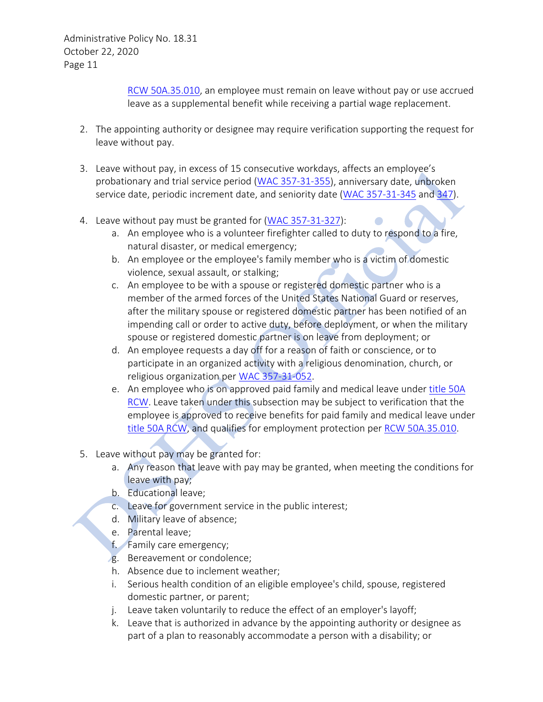> [RCW 50A.35.010,](https://app.leg.wa.gov/RCW/default.aspx?cite=50A.35.010) an employee must remain on leave without pay or use accrued leave as a supplemental benefit while receiving a partial wage replacement.

- 2. The appointing authority or designee may require verification supporting the request for leave without pay.
- 3. Leave without pay, in excess of 15 consecutive workdays, affects an employee's probationary and trial service period (WAC [357-31-355\)](http://apps.leg.wa.gov/WAC/default.aspx?cite=357-31-355), anniversary date, unbroken service date, periodic increment date, and seniority date [\(WAC 357-31-345](http://apps.leg.wa.gov/WAC/default.aspx?cite=357-31-345) and [347\)](http://apps.leg.wa.gov/WAC/default.aspx?cite=357-31-347).
- 4. Leave without pay must be granted for (WAC [357-31-327\)](http://apps.leg.wa.gov/WAC/default.aspx?cite=357-31-327):
	- a. An employee who is a volunteer firefighter called to duty to respond to a fire, natural disaster, or medical emergency;
	- b. An employee or the employee's family member who is a victim of domestic violence, sexual assault, or stalking;
	- c. An employee to be with a spouse or registered domestic partner who is a member of the armed forces of the United States National Guard or reserves, after the military spouse or registered domestic partner has been notified of an impending call or order to active duty, before deployment, or when the military spouse or registered domestic partner is on leave from deployment; or
	- d. An employee requests a day off for a reason of faith or conscience, or to participate in an organized activity with a religious denomination, church, or religious organization per [WAC 357-31-052.](https://apps.leg.wa.gov/WAC/default.aspx?cite=357-31-052)
	- e. An employee who is on approved paid family and medical leave under [title 50A](https://app.leg.wa.gov/RCW/default.aspx?cite=50A)  [RCW.](https://app.leg.wa.gov/RCW/default.aspx?cite=50A) Leave taken under this subsection may be subject to verification that the employee is approved to receive benefits for paid family and medical leave under [title 50A RCW,](https://app.leg.wa.gov/RCW/default.aspx?cite=50A) and qualifies for employment protection per [RCW 50A.35.010.](https://app.leg.wa.gov/RCW/default.aspx?cite=50A.35.010)
- 5. Leave without pay may be granted for:
	- a. Any reason that leave with pay may be granted, when meeting the conditions for leave with pay;
	- b. Educational leave;
	- c. Leave for government service in the public interest;
	- d. Military leave of absence;
	- e. Parental leave;
	- f. Family care emergency;
	- g. Bereavement or condolence;
	- h. Absence due to inclement weather;
	- i. Serious health condition of an eligible employee's child, spouse, registered domestic partner, or parent;
	- j. Leave taken voluntarily to reduce the effect of an employer's layoff;
	- k. Leave that is authorized in advance by the appointing authority or designee as part of a plan to reasonably accommodate a person with a disability; or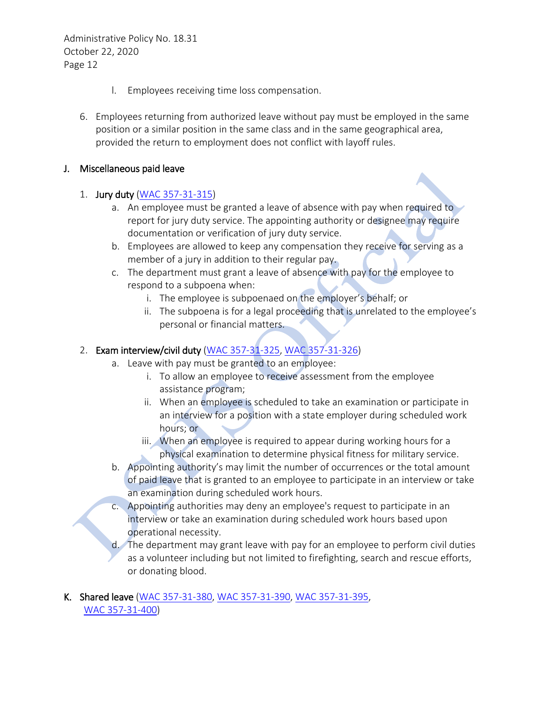- l. Employees receiving time loss compensation.
- 6. Employees returning from authorized leave without pay must be employed in the same position or a similar position in the same class and in the same geographical area, provided the return to employment does not conflict with layoff rules.

#### J. Miscellaneous paid leave

#### 1. Jury duty [\(WAC 357-31-315\)](http://apps.leg.wa.gov/WAC/default.aspx?cite=357-31-315)

- a. An employee must be granted a leave of absence with pay when required to report for jury duty service. The appointing authority or designee may require documentation or verification of jury duty service.
- b. Employees are allowed to keep any compensation they receive for serving as a member of a jury in addition to their regular pay.
- c. The department must grant a leave of absence with pay for the employee to respond to a subpoena when:
	- i. The employee is subpoenaed on the employer's behalf; or
	- ii. The subpoena is for a legal proceeding that is unrelated to the employee's personal or financial matters.

#### 2. Exam interview/civil duty [\(WAC 357-31-325,](http://apps.leg.wa.gov/WAC/default.aspx?cite=357-31-325) [WAC 357-31-326\)](http://apps.leg.wa.gov/WAC/default.aspx?cite=357-31-326)

- a. Leave with pay must be granted to an employee:
	- i. To allow an employee to receive assessment from the employee assistance program;
	- ii. When an employee is scheduled to take an examination or participate in an interview for a position with a state employer during scheduled work hours; or
	- iii. When an employee is required to appear during working hours for a physical examination to determine physical fitness for military service.
- b. Appointing authority's may limit the number of occurrences or the total amount of paid leave that is granted to an employee to participate in an interview or take an examination during scheduled work hours.
- c. Appointing authorities may deny an employee's request to participate in an interview or take an examination during scheduled work hours based upon operational necessity.
- d. The department may grant leave with pay for an employee to perform civil duties as a volunteer including but not limited to firefighting, search and rescue efforts, or donating blood.

#### K. Shared leave [\(WAC 357-31-380,](http://apps.leg.wa.gov/WAC/default.aspx?cite=357-31-380) [WAC 357-31-390,](http://apps.leg.wa.gov/WAC/default.aspx?cite=357-31-390) [WAC 357-31-395,](http://apps.leg.wa.gov/WAC/default.aspx?cite=357-31-395) [WAC 357-31-400\)](http://apps.leg.wa.gov/WAC/default.aspx?cite=357-31-400)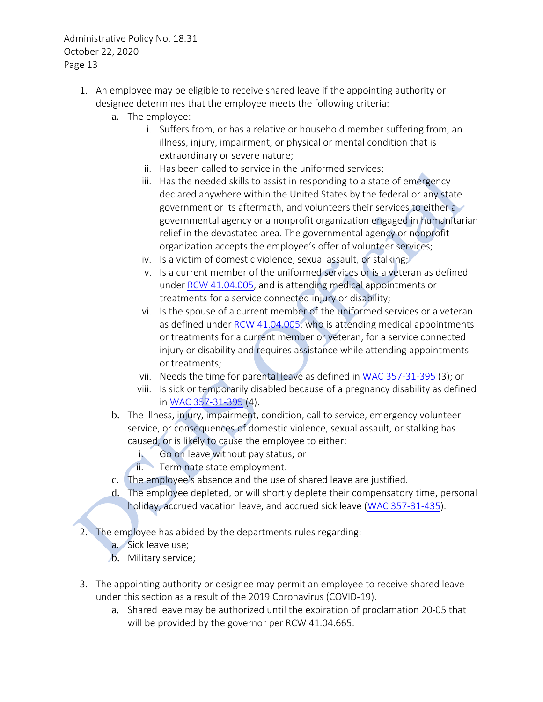- 1. An employee may be eligible to receive shared leave if the appointing authority or designee determines that the employee meets the following criteria:
	- a. The employee:
		- i. Suffers from, or has a relative or household member suffering from, an illness, injury, impairment, or physical or mental condition that is extraordinary or severe nature;
		- ii. Has been called to service in the uniformed services;
		- iii. Has the needed skills to assist in responding to a state of emergency declared anywhere within the United States by the federal or any state government or its aftermath, and volunteers their services to either a governmental agency or a nonprofit organization engaged in humanitarian relief in the devastated area. The governmental agency or nonprofit organization accepts the employee's offer of volunteer services;
		- iv. Is a victim of domestic violence, sexual assault, or stalking;
		- v. Is a current member of the uniformed services or is a veteran as defined under [RCW 41.04.005,](https://app.leg.wa.gov/RCW/default.aspx?cite=41.04.005) and is attending medical appointments or treatments for a service connected injury or disability;
		- vi. Is the spouse of a current member of the uniformed services or a veteran as defined under [RCW 41.04.005,](https://app.leg.wa.gov/RCW/default.aspx?cite=41.04.005) who is attending medical appointments or treatments for a current member or veteran, for a service connected injury or disability and requires assistance while attending appointments or treatments;
		- vii. Needs the time for parental leave as defined i[n WAC 357-31-395](https://apps.leg.wa.gov/WAC/default.aspx?cite=357-31-395) (3); or
		- viii. Is sick or temporarily disabled because of a pregnancy disability as defined in [WAC 357-31-395](https://apps.leg.wa.gov/WAC/default.aspx?cite=357-31-395) (4).
	- b. The illness, injury, impairment, condition, call to service, emergency volunteer service, or consequences of domestic violence, sexual assault, or stalking has caused, or is likely to cause the employee to either:
		- i. Go on leave without pay status; or
		- ii. Terminate state employment.
	- c. The employee's absence and the use of shared leave are justified.
	- d. The employee depleted, or will shortly deplete their compensatory time, personal holiday, accrued vacation leave, and accrued sick leave [\(WAC 357-31-435\)](http://apps.leg.wa.gov/WAC/default.aspx?cite=357-31-435).
- 2. The employee has abided by the departments rules regarding:
	- a. Sick leave use;
	- b. Military service;
- 3. The appointing authority or designee may permit an employee to receive shared leave under this section as a result of the 2019 Coronavirus (COVID-19).
	- a. Shared leave may be authorized until the expiration of proclamation 20-05 that will be provided by the governor per RCW 41.04.665.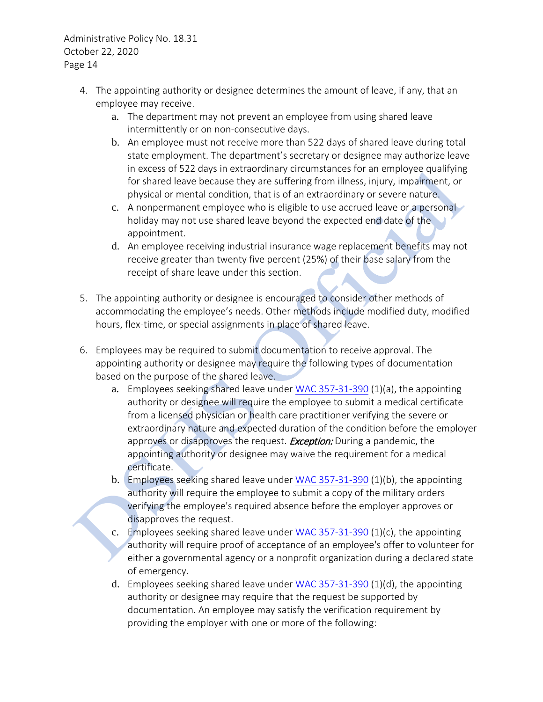- 4. The appointing authority or designee determines the amount of leave, if any, that an employee may receive.
	- a. The department may not prevent an employee from using shared leave intermittently or on non-consecutive days.
	- b. An employee must not receive more than 522 days of shared leave during total state employment. The department's secretary or designee may authorize leave in excess of 522 days in extraordinary circumstances for an employee qualifying for shared leave because they are suffering from illness, injury, impairment, or physical or mental condition, that is of an extraordinary or severe nature.
	- c. A nonpermanent employee who is eligible to use accrued leave or a personal holiday may not use shared leave beyond the expected end date of the appointment.
	- d. An employee receiving industrial insurance wage replacement benefits may not receive greater than twenty five percent (25%) of their base salary from the receipt of share leave under this section.
- 5. The appointing authority or designee is encouraged to consider other methods of accommodating the employee's needs. Other methods include modified duty, modified hours, flex-time, or special assignments in place of shared leave.
- 6. Employees may be required to submit documentation to receive approval. The appointing authority or designee may require the following types of documentation based on the purpose of the shared leave.
	- a. Employees seeking shared leave under [WAC 357-31-390](http://apps.leg.wa.gov/WAC/default.aspx?cite=357-31-390) (1)(a), the appointing authority or designee will require the employee to submit a medical certificate from a licensed physician or health care practitioner verifying the severe or extraordinary nature and expected duration of the condition before the employer approves or disapproves the request. **Exception:** During a pandemic, the appointing authority or designee may waive the requirement for a medical certificate.
	- b. Employees seeking shared leave under [WAC 357-31-390](http://apps.leg.wa.gov/WAC/default.aspx?cite=357-31-390) (1)(b), the appointing authority will require the employee to submit a copy of the military orders verifying the employee's required absence before the employer approves or disapproves the request.
	- c. Employees seeking shared leave under [WAC 357-31-390](http://apps.leg.wa.gov/WAC/default.aspx?cite=357-31-390)  $(1)(c)$ , the appointing authority will require proof of acceptance of an employee's offer to volunteer for either a governmental agency or a nonprofit organization during a declared state of emergency.
	- d. Employees seeking shared leave under [WAC 357-31-390](http://apps.leg.wa.gov/WAC/default.aspx?cite=357-31-390) (1)(d), the appointing authority or designee may require that the request be supported by documentation. An employee may satisfy the verification requirement by providing the employer with one or more of the following: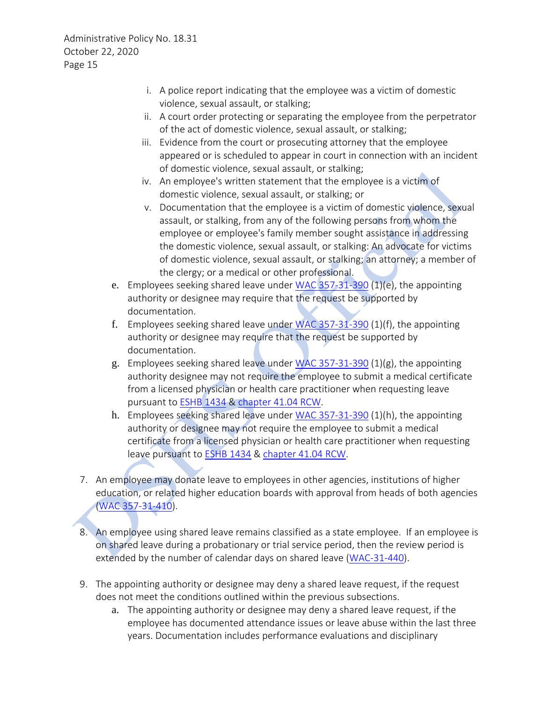- i. A police report indicating that the employee was a victim of domestic violence, sexual assault, or stalking;
- ii. A court order protecting or separating the employee from the perpetrator of the act of domestic violence, sexual assault, or stalking;
- iii. Evidence from the court or prosecuting attorney that the employee appeared or is scheduled to appear in court in connection with an incident of domestic violence, sexual assault, or stalking;
- iv. An employee's written statement that the employee is a victim of domestic violence, sexual assault, or stalking; or
- v. Documentation that the employee is a victim of domestic violence, sexual assault, or stalking, from any of the following persons from whom the employee or employee's family member sought assistance in addressing the domestic violence, sexual assault, or stalking: An advocate for victims of domestic violence, sexual assault, or stalking; an attorney; a member of the clergy; or a medical or other professional.
- e. Employees seeking shared leave under [WAC 357-31-390](https://apps.leg.wa.gov/WAC/default.aspx?cite=357-31-390) (1)(e), the appointing authority or designee may require that the request be supported by documentation.
- f. Employees seeking shared leave under [WAC 357-31-390](https://apps.leg.wa.gov/WAC/default.aspx?cite=357-31-390) (1)(f), the appointing authority or designee may require that the request be supported by documentation.
- g. Employees seeking shared leave under [WAC 357-31-390](https://apps.leg.wa.gov/WAC/default.aspx?cite=357-31-390) (1)(g), the appointing authority designee may not require the employee to submit a medical certificate from a licensed physician or health care practitioner when requesting leave pursuant to [ESHB 1434](https://app.leg.wa.gov/billsummary?BillNumber=1434&Year=2017&Initiative=False) & [chapter 41.04 RCW.](https://app.leg.wa.gov/RCW/default.aspx?cite=41.04)
- h. Employees seeking shared leave under [WAC 357-31-390](https://apps.leg.wa.gov/WAC/default.aspx?cite=357-31-390) (1)(h), the appointing authority or designee may not require the employee to submit a medical certificate from a licensed physician or health care practitioner when requesting leave pursuant to [ESHB 1434](https://app.leg.wa.gov/billsummary?BillNumber=1434&Year=2017&Initiative=False) [& chapter 41.04 RCW.](https://app.leg.wa.gov/RCW/default.aspx?cite=41.04)
- 7. An employee may donate leave to employees in other agencies, institutions of higher education, or related higher education boards with approval from heads of both agencies [\(WAC 357-31-410\)](http://apps.leg.wa.gov/WAC/default.aspx?cite=357-31-410).
- 8. An employee using shared leave remains classified as a state employee. If an employee is on shared leave during a probationary or trial service period, then the review period is extended by the number of calendar days on shared leave [\(WAC-31-440\)](http://apps.leg.wa.gov/WAC/default.aspx?cite=357-31-440).
- 9. The appointing authority or designee may deny a shared leave request, if the request does not meet the conditions outlined within the previous subsections.
	- a. The appointing authority or designee may deny a shared leave request, if the employee has documented attendance issues or leave abuse within the last three years. Documentation includes performance evaluations and disciplinary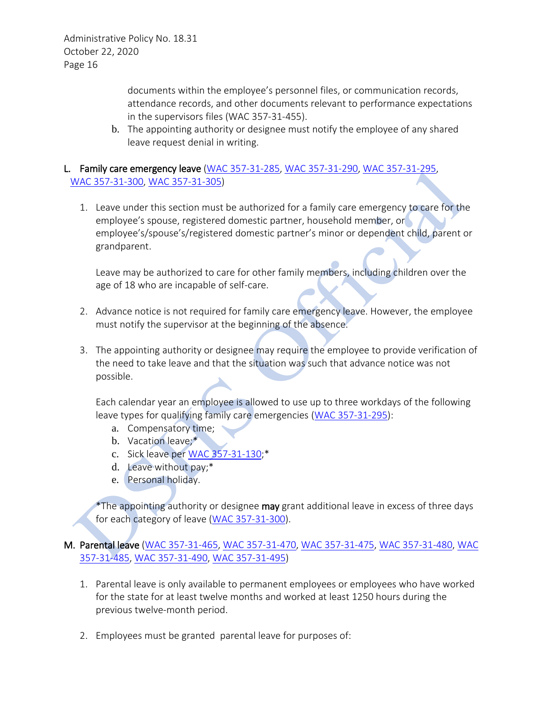> documents within the employee's personnel files, or communication records, attendance records, and other documents relevant to performance expectations in the supervisors files (WAC 357-31-455).

b. The appointing authority or designee must notify the employee of any shared leave request denial in writing.

## L. Family care emergency leave [\(WAC 357-31-285,](http://apps.leg.wa.gov/WAC/default.aspx?cite=357-31-285) [WAC 357-31-290,](http://apps.leg.wa.gov/WAC/default.aspx?cite=357-31-290) [WAC 357-31-295,](http://apps.leg.wa.gov/WAC/default.aspx?cite=357-31-295) [WAC 357-31-300,](http://apps.leg.wa.gov/WAC/default.aspx?cite=357-31-300) [WAC 357-31-305\)](http://apps.leg.wa.gov/WAC/default.aspx?cite=357-31-305)

1. Leave under this section must be authorized for a family care emergency to care for the employee's spouse, registered domestic partner, household member, or employee's/spouse's/registered domestic partner's minor or dependent child, parent or grandparent.

Leave may be authorized to care for other family members, including children over the age of 18 who are incapable of self-care.

- 2. Advance notice is not required for family care emergency leave. However, the employee must notify the supervisor at the beginning of the absence.
- 3. The appointing authority or designee may require the employee to provide verification of the need to take leave and that the situation was such that advance notice was not possible.

Each calendar year an employee is allowed to use up to three workdays of the following leave types for qualifying family care emergencies [\(WAC 357-31-295\)](http://apps.leg.wa.gov/WAC/default.aspx?cite=357-31-295):

- a. Compensatory time;
- b. Vacation leave;\*
- c. Sick leave per [WAC 357-31-130;](http://apps.leg.wa.gov/WAC/default.aspx?cite=357-31-130)\*
- d. Leave without pay;\*
- e. Personal holiday.

\*The appointing authority or designee may grant additional leave in excess of three days for each category of leave [\(WAC 357-31-300\)](http://apps.leg.wa.gov/WAC/default.aspx?cite=357-31-300).

#### M. Parental leave [\(WAC 357-31-465,](http://apps.leg.wa.gov/WAC/default.aspx?cite=357-31-465) [WAC 357-31-470,](http://apps.leg.wa.gov/WAC/default.aspx?cite=357-31-470) [WAC 357-31-475,](http://apps.leg.wa.gov/WAC/default.aspx?cite=357-31-475) [WAC 357-31-480,](http://apps.leg.wa.gov/WAC/default.aspx?cite=357-31-480) [WAC](http://apps.leg.wa.gov/WAC/default.aspx?cite=357-31-485)  [357-31-485,](http://apps.leg.wa.gov/WAC/default.aspx?cite=357-31-485) [WAC 357-31-490,](http://apps.leg.wa.gov/WAC/default.aspx?cite=357-31-490) [WAC 357-31-495\)](http://apps.leg.wa.gov/WAC/default.aspx?cite=357-31-495)

- 1. Parental leave is only available to permanent employees or employees who have worked for the state for at least twelve months and worked at least 1250 hours during the previous twelve-month period.
- 2. Employees must be granted parental leave for purposes of: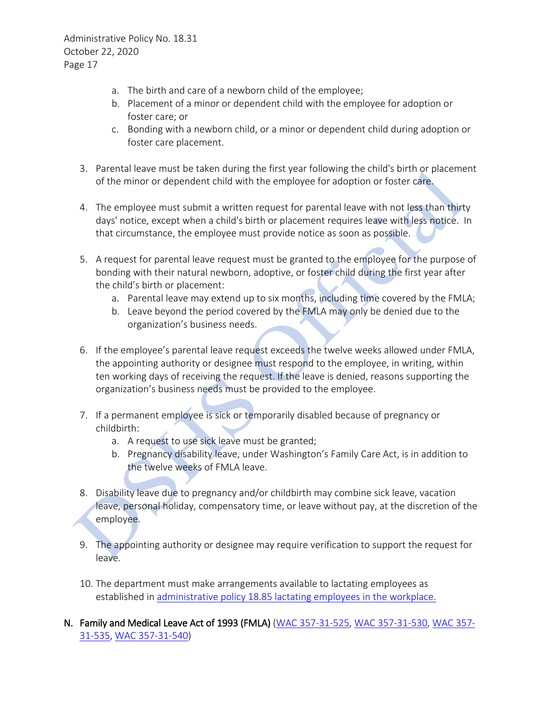- a. The birth and care of a newborn child of the employee;
- b. Placement of a minor or dependent child with the employee for adoption or foster care; or
- c. Bonding with a newborn child, or a minor or dependent child during adoption or foster care placement.
- 3. Parental leave must be taken during the first year following the child's birth or placement of the minor or dependent child with the employee for adoption or foster care.
- 4. The employee must submit a written request for parental leave with not less than thirty days' notice, except when a child's birth or placement requires leave with less notice. In that circumstance, the employee must provide notice as soon as possible.
- 5. A request for parental leave request must be granted to the employee for the purpose of bonding with their natural newborn, adoptive, or foster child during the first year after the child's birth or placement:
	- a. Parental leave may extend up to six months, including time covered by the FMLA;
	- b. Leave beyond the period covered by the FMLA may only be denied due to the organization's business needs.
- 6. If the employee's parental leave request exceeds the twelve weeks allowed under FMLA, the appointing authority or designee must respond to the employee, in writing, within ten working days of receiving the request. If the leave is denied, reasons supporting the organization's business needs must be provided to the employee.
- 7. If a permanent employee is sick or temporarily disabled because of pregnancy or childbirth:
	- a. A request to use sick leave must be granted;
	- b. Pregnancy disability leave, under Washington's Family Care Act, is in addition to the twelve weeks of FMLA leave.
- 8. Disability leave due to pregnancy and/or childbirth may combine sick leave, vacation leave, personal holiday, compensatory time, or leave without pay, at the discretion of the employee.
- 9. The appointing authority or designee may require verification to support the request for leave.
- 10. The department must make arrangements available to lactating employees as established in [administrative policy 18.85 lactating employees in the workplace.](http://one.dshs.wa.lcl/Policies/Administrative/DSHS-AP-18-85.pdf)
- N. Family and Medical Leave Act of 1993 (FMLA) [\(WAC 357-31-525,](http://apps.leg.wa.gov/WAC/default.aspx?cite=357-31-525) [WAC 357-31-530,](http://apps.leg.wa.gov/WAC/default.aspx?cite=357-31-530) [WAC 357-](http://apps.leg.wa.gov/WAC/default.aspx?cite=357-31-535) [31-535,](http://apps.leg.wa.gov/WAC/default.aspx?cite=357-31-535) [WAC 357-31-540\)](http://apps.leg.wa.gov/WAC/default.aspx?cite=357-31-540)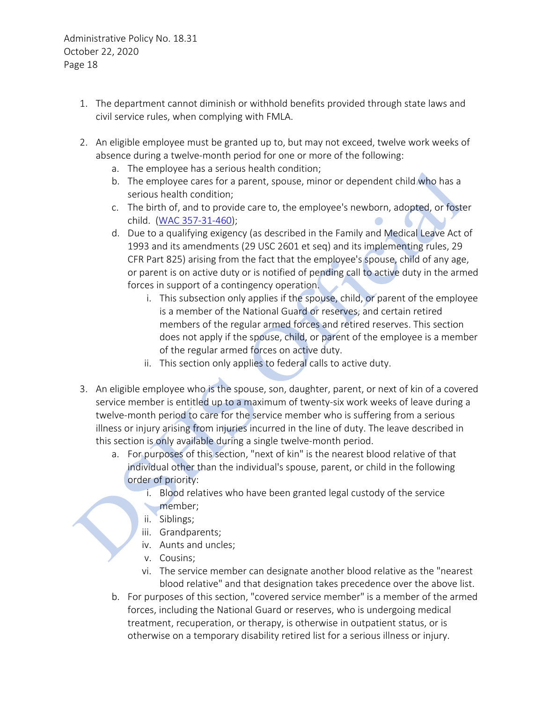- 1. The department cannot diminish or withhold benefits provided through state laws and civil service rules, when complying with FMLA.
- 2. An eligible employee must be granted up to, but may not exceed, twelve work weeks of absence during a twelve-month period for one or more of the following:
	- a. The employee has a serious health condition;
	- b. The employee cares for a parent, spouse, minor or dependent child who has a serious health condition;
	- c. The birth of, and to provide care to, the employee's newborn, adopted, or foster child. [\(WAC 357-31-460\)](http://apps.leg.wa.gov/WAC/default.aspx?cite=357-31-460);
	- d. Due to a qualifying exigency (as described in the Family and Medical Leave Act of 1993 and its amendments (29 USC 2601 et seq) and its implementing rules, 29 CFR Part 825) arising from the fact that the employee's spouse, child of any age, or parent is on active duty or is notified of pending call to active duty in the armed forces in support of a contingency operation.
		- i. This subsection only applies if the spouse, child, or parent of the employee is a member of the National Guard or reserves, and certain retired members of the regular armed forces and retired reserves. This section does not apply if the spouse, child, or parent of the employee is a member of the regular armed forces on active duty.
		- ii. This section only applies to federal calls to active duty.
- 3. An eligible employee who is the spouse, son, daughter, parent, or next of kin of a covered service member is entitled up to a maximum of twenty-six work weeks of leave during a twelve-month period to care for the service member who is suffering from a serious illness or injury arising from injuries incurred in the line of duty. The leave described in this section is only available during a single twelve-month period.
	- a. For purposes of this section, "next of kin" is the nearest blood relative of that individual other than the individual's spouse, parent, or child in the following order of priority:
		- i. Blood relatives who have been granted legal custody of the service member;
		- ii. Siblings;
		- iii. Grandparents;
		- iv. Aunts and uncles;
		- v. Cousins;
		- vi. The service member can designate another blood relative as the "nearest blood relative" and that designation takes precedence over the above list.
	- b. For purposes of this section, "covered service member" is a member of the armed forces, including the National Guard or reserves, who is undergoing medical treatment, recuperation, or therapy, is otherwise in outpatient status, or is otherwise on a temporary disability retired list for a serious illness or injury.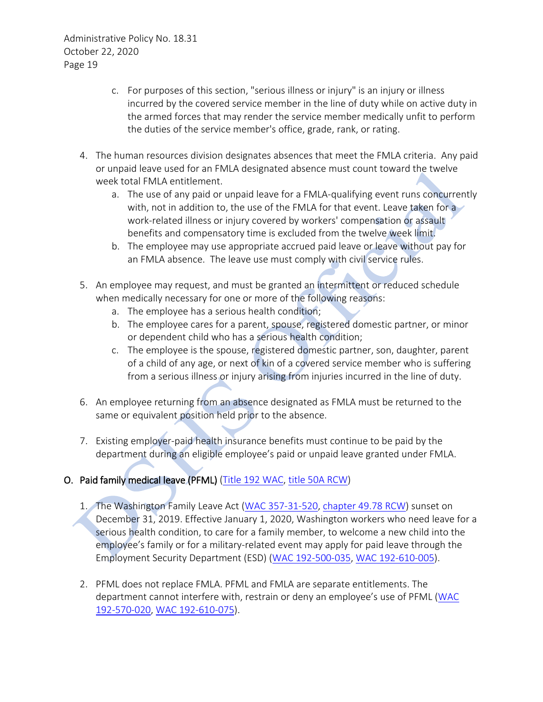- c. For purposes of this section, "serious illness or injury" is an injury or illness incurred by the covered service member in the line of duty while on active duty in the armed forces that may render the service member medically unfit to perform the duties of the service member's office, grade, rank, or rating.
- 4. The human resources division designates absences that meet the FMLA criteria. Any paid or unpaid leave used for an FMLA designated absence must count toward the twelve week total FMLA entitlement.
	- a. The use of any paid or unpaid leave for a FMLA-qualifying event runs concurrently with, not in addition to, the use of the FMLA for that event. Leave taken for a work-related illness or injury covered by workers' compensation or assault benefits and compensatory time is excluded from the twelve week limit.
	- b. The employee may use appropriate accrued paid leave or leave without pay for an FMLA absence. The leave use must comply with civil service rules.
- 5. An employee may request, and must be granted an intermittent or reduced schedule when medically necessary for one or more of the following reasons:
	- a. The employee has a serious health condition;
	- b. The employee cares for a parent, spouse, registered domestic partner, or minor or dependent child who has a serious health condition;
	- c. The employee is the spouse, registered domestic partner, son, daughter, parent of a child of any age, or next of kin of a covered service member who is suffering from a serious illness or injury arising from injuries incurred in the line of duty.
- 6. An employee returning from an absence designated as FMLA must be returned to the same or equivalent position held prior to the absence.
- 7. Existing employer-paid health insurance benefits must continue to be paid by the department during an eligible employee's paid or unpaid leave granted under FMLA.

# O. Paid family medical leave (PFML) [\(Title 192 WAC,](https://apps.leg.wa.gov/wac/default.aspx?cite=192) [title 50A RCW\)](https://apps.leg.wa.gov/rcw/default.aspx?Cite=50A)

- 1. The Washington Family Leave Act [\(WAC 357-31-520,](https://apps.leg.wa.gov/WAC/default.aspx?cite=357-31-520) [chapter 49.78 RCW\)](https://apps.leg.wa.gov/RCW/default.aspx?cite=49.78) sunset on December 31, 2019. Effective January 1, 2020, Washington workers who need leave for a serious health condition, to care for a family member, to welcome a new child into the employee's family or for a military-related event may apply for paid leave through the Employment Security Department (ESD) [\(WAC 192-500-035,](https://apps.leg.wa.gov/wac/default.aspx?cite=192-500-035) [WAC 192-610-005\)](https://apps.leg.wa.gov/wac/default.aspx?cite=192-610-005).
- 2. PFML does not replace FMLA. PFML and FMLA are separate entitlements. The department cannot interfere with, restrain or deny an employee's use of PFML (WAC [192-570-020,](https://apps.leg.wa.gov/wac/default.aspx?cite=192-570-020) [WAC 192-610-075\)](https://apps.leg.wa.gov/wac/default.aspx?cite=192-610-075).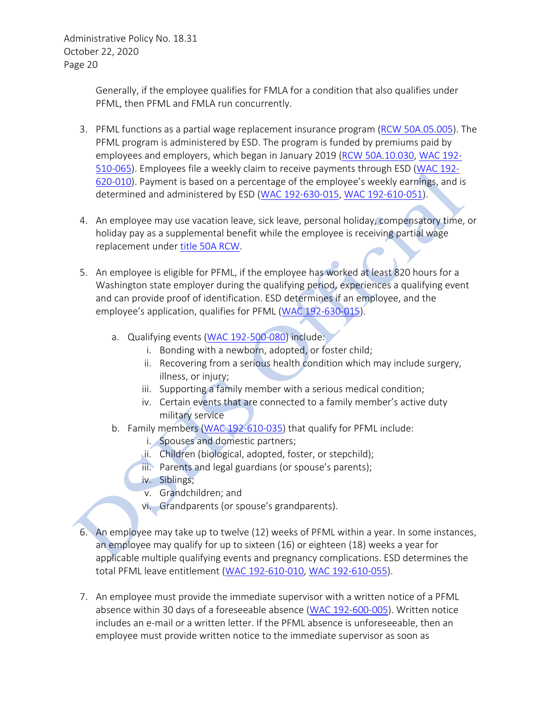> Generally, if the employee qualifies for FMLA for a condition that also qualifies under PFML, then PFML and FMLA run concurrently.

- 3. PFML functions as a partial wage replacement insurance program [\(RCW 50A.05.005\)](https://app.leg.wa.gov/RCW/default.aspx?cite=50A.05.005). The PFML program is administered by ESD. The program is funded by premiums paid by employees and employers, which began in January 2019 [\(RCW 50A.10.030,](https://app.leg.wa.gov/RCW/default.aspx?cite=50A.10.030) [WAC 192-](https://apps.leg.wa.gov/wac/default.aspx?cite=192-510-065) [510-065\)](https://apps.leg.wa.gov/wac/default.aspx?cite=192-510-065). Employees file a weekly claim to receive payments through ESD [\(WAC 192-](https://apps.leg.wa.gov/wac/default.aspx?cite=192-620-010) [620-010\)](https://apps.leg.wa.gov/wac/default.aspx?cite=192-620-010). Payment is based on a percentage of the employee's weekly earnings, and is determined and administered by ESD [\(WAC 192-630-015,](https://apps.leg.wa.gov/wac/default.aspx?cite=192-630-015) [WAC 192-610-051\)](https://apps.leg.wa.gov/wac/default.aspx?cite=192-610-051).
- 4. An employee may use vacation leave, sick leave, personal holiday, compensatory time, or holiday pay as a supplemental benefit while the employee is receiving partial wage replacement under [title 50A RCW.](https://app.leg.wa.gov/RCW/default.aspx?cite=50A)
- 5. An employee is eligible for PFML, if the employee has worked at least 820 hours for a Washington state employer during the qualifying period, experiences a qualifying event and can provide proof of identification. ESD determines if an employee, and the employee's application, qualifies for PFML [\(WAC 192-630-015\)](https://apps.leg.wa.gov/wac/default.aspx?cite=192-630-015).
	- a. Qualifying events [\(WAC 192-500-080\)](https://apps.leg.wa.gov/wac/default.aspx?cite=192-500-080) include:
		- i. Bonding with a newborn, adopted, or foster child;
		- ii. Recovering from a serious health condition which may include surgery, illness, or injury;
		- iii. Supporting a family member with a serious medical condition;
		- iv. Certain events that are connected to a family member's active duty military service
	- b. Family members [\(WAC 192-610-035\)](https://apps.leg.wa.gov/wac/default.aspx?cite=192-610-035) that qualify for PFML include:
		- i. Spouses and domestic partners;
		- ii. Children (biological, adopted, foster, or stepchild);
		- iii. Parents and legal guardians (or spouse's parents);
		- iv. Siblings;
			- v. Grandchildren; and
		- vi. Grandparents (or spouse's grandparents).
- 6. An employee may take up to twelve (12) weeks of PFML within a year. In some instances, an employee may qualify for up to sixteen (16) or eighteen (18) weeks a year for applicable multiple qualifying events and pregnancy complications. ESD determines the total PFML leave entitlement [\(WAC 192-610-010,](https://apps.leg.wa.gov/wac/default.aspx?cite=192-610-010) [WAC 192-610-055\)](https://apps.leg.wa.gov/wac/default.aspx?cite=192-610-055).
- 7. An employee must provide the immediate supervisor with a written notice of a PFML absence within 30 days of a foreseeable absence [\(WAC 192-600-005\)](https://apps.leg.wa.gov/wac/default.aspx?cite=192-600-005). Written notice includes an e-mail or a written letter. If the PFML absence is unforeseeable, then an employee must provide written notice to the immediate supervisor as soon as